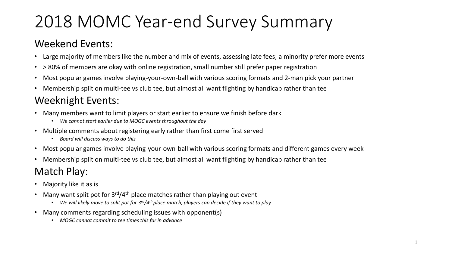# 2018 MOMC Year-end Survey Summary

#### Weekend Events:

- Large majority of members like the number and mix of events, assessing late fees; a minority prefer more events
- > 80% of members are okay with online registration, small number still prefer paper registration
- Most popular games involve playing-your-own-ball with various scoring formats and 2-man pick your partner
- Membership split on multi-tee vs club tee, but almost all want flighting by handicap rather than tee

### Weeknight Events:

- Many members want to limit players or start earlier to ensure we finish before dark
	- *We cannot start earlier due to MOGC events throughout the day*
- Multiple comments about registering early rather than first come first served
	- *Board will discuss ways to do this*
- Most popular games involve playing-your-own-ball with various scoring formats and different games every week
- Membership split on multi-tee vs club tee, but almost all want flighting by handicap rather than tee

#### Match Play:

- Majority like it as is
- Many want split pot for  $3<sup>rd</sup>/4<sup>th</sup>$  place matches rather than playing out event
	- *We will likely move to split pot for 3rd/4th place match, players can decide if they want to play*
- Many comments regarding scheduling issues with opponent(s)
	- *MOGC cannot commit to tee times this far in advance*